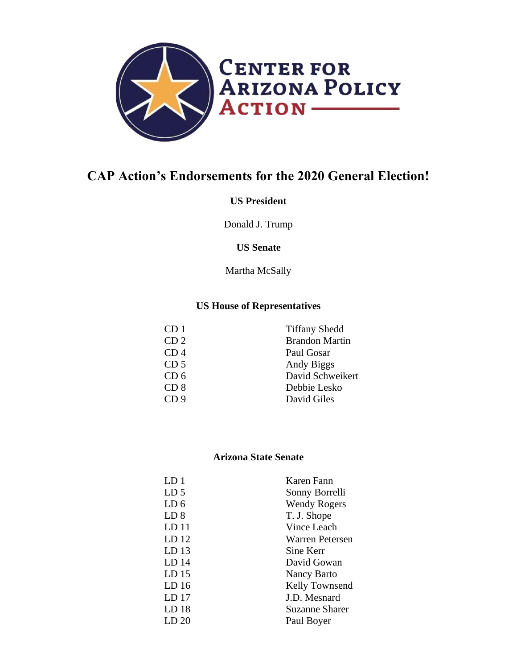

# **CAP Action's Endorsements for the 2020 General Election!**

## **US President**

Donald J. Trump

## **US Senate**

Martha McSally

## **US House of Representatives**

| CD <sub>1</sub> | <b>Tiffany Shedd</b>  |
|-----------------|-----------------------|
| CD <sub>2</sub> | <b>Brandon Martin</b> |
| CD <sub>4</sub> | Paul Gosar            |
| CD <sub>5</sub> | Andy Biggs            |
| CD <sub>6</sub> | David Schweikert      |
| CD <sub>8</sub> | Debbie Lesko          |
| CD <sub>9</sub> | David Giles           |
|                 |                       |

## **Arizona State Senate**

| LD <sub>1</sub>  | Karen Fann          |
|------------------|---------------------|
| LD <sub>5</sub>  | Sonny Borrelli      |
| LD <sub>6</sub>  | <b>Wendy Rogers</b> |
| LD 8             | T. J. Shope         |
| LD <sub>11</sub> | Vince Leach         |
| LD $12$          | Warren Petersen     |
| LD <sub>13</sub> | Sine Kerr           |
| LD <sub>14</sub> | David Gowan         |
| LD <sub>15</sub> | Nancy Barto         |
| LD <sub>16</sub> | Kelly Townsend      |
| LD <sub>17</sub> | J.D. Mesnard        |
| LD <sub>18</sub> | Suzanne Sharer      |
| LD <sub>20</sub> | Paul Boyer          |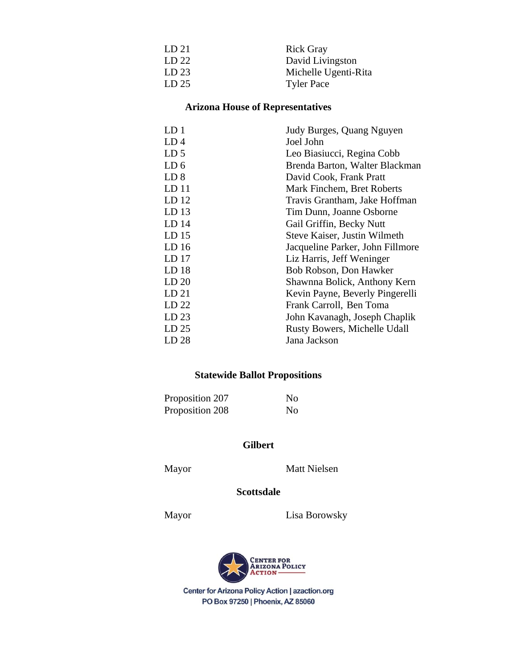| LD21    | <b>Rick Gray</b>     |
|---------|----------------------|
| LD22    | David Livingston     |
| LD $23$ | Michelle Ugenti-Rita |
| LD $25$ | <b>Tyler Pace</b>    |

## **Arizona House of Representatives**

| LD <sub>1</sub>  | Judy Burges, Quang Nguyen        |
|------------------|----------------------------------|
| LD <sub>4</sub>  | Joel John                        |
| LD <sub>5</sub>  | Leo Biasiucci, Regina Cobb       |
| LD <sub>6</sub>  | Brenda Barton, Walter Blackman   |
| LD 8             | David Cook, Frank Pratt          |
| LD <sub>11</sub> | Mark Finchem, Bret Roberts       |
| LD <sub>12</sub> | Travis Grantham, Jake Hoffman    |
| LD <sub>13</sub> | Tim Dunn, Joanne Osborne         |
| LD 14            | Gail Griffin, Becky Nutt         |
| LD <sub>15</sub> | Steve Kaiser, Justin Wilmeth     |
| LD <sub>16</sub> | Jacqueline Parker, John Fillmore |
| LD <sub>17</sub> | Liz Harris, Jeff Weninger        |
| LD <sub>18</sub> | Bob Robson, Don Hawker           |
| LD <sub>20</sub> | Shawnna Bolick, Anthony Kern     |
| LD <sub>21</sub> | Kevin Payne, Beverly Pingerelli  |
| LD 22            | Frank Carroll, Ben Toma          |
| LD <sub>23</sub> | John Kavanagh, Joseph Chaplik    |
| LD <sub>25</sub> | Rusty Bowers, Michelle Udall     |
| LD <sub>28</sub> | Jana Jackson                     |

## **Statewide Ballot Propositions**

| Proposition 207 | N <sub>0</sub> |
|-----------------|----------------|
| Proposition 208 | N <sub>0</sub> |

#### **Gilbert**

Mayor Matt Nielsen

**Scottsdale**

Mayor Lisa Borowsky



Center for Arizona Policy Action | azaction.org PO Box 97250 | Phoenix, AZ 85060